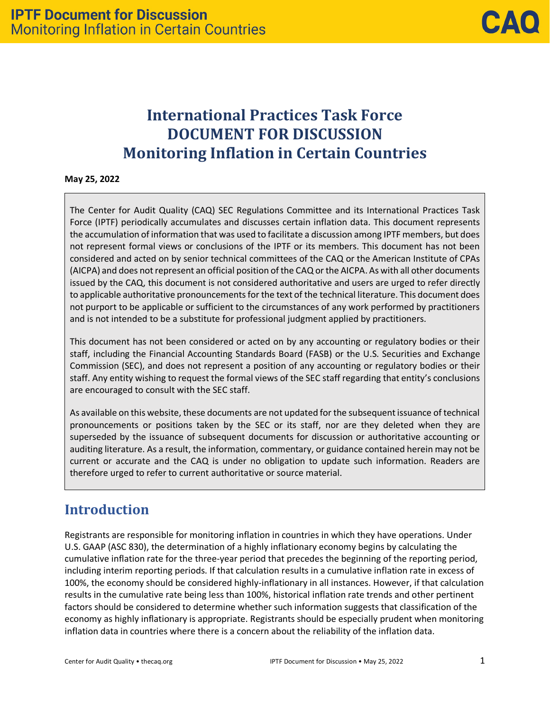# **International Practices Task Force DOCUMENT FOR DISCUSSION Monitoring Inflation in Certain Countries**

**May 25, 2022** 

The Center for Audit Quality (CAQ) SEC Regulations Committee and its International Practices Task Force (IPTF) periodically accumulates and discusses certain inflation data. This document represents the accumulation of information that was used to facilitate a discussion among IPTF members, but does not represent formal views or conclusions of the IPTF or its members. This document has not been considered and acted on by senior technical committees of the CAQ or the American Institute of CPAs (AICPA) and does not represent an official position of the CAQ or the AICPA. As with all other documents issued by the CAQ, this document is not considered authoritative and users are urged to refer directly to applicable authoritative pronouncements for the text of the technical literature. This document does not purport to be applicable or sufficient to the circumstances of any work performed by practitioners and is not intended to be a substitute for professional judgment applied by practitioners.

This document has not been considered or acted on by any accounting or regulatory bodies or their staff, including the Financial Accounting Standards Board (FASB) or the U.S. Securities and Exchange Commission (SEC), and does not represent a position of any accounting or regulatory bodies or their staff. Any entity wishing to request the formal views of the SEC staff regarding that entity's conclusions are encouraged to consult with the SEC staff.

As available on this website, these documents are not updated for the subsequentissuance of technical pronouncements or positions taken by the SEC or its staff, nor are they deleted when they are superseded by the issuance of subsequent documents for discussion or authoritative accounting or auditing literature. As a result, the information, commentary, or guidance contained herein may not be current or accurate and the CAQ is under no obligation to update such information. Readers are therefore urged to refer to current authoritative or source material.

## **Introduction**

Registrants are responsible for monitoring inflation in countries in which they have operations. Under U.S. GAAP (ASC 830), the determination of a highly inflationary economy begins by calculating the cumulative inflation rate for the three-year period that precedes the beginning of the reporting period, including interim reporting periods. If that calculation results in a cumulative inflation rate in excess of 100%, the economy should be considered highly-inflationary in all instances. However, if that calculation results in the cumulative rate being less than 100%, historical inflation rate trends and other pertinent factors should be considered to determine whether such information suggests that classification of the economy as highly inflationary is appropriate. Registrants should be especially prudent when monitoring inflation data in countries where there is a concern about the reliability of the inflation data.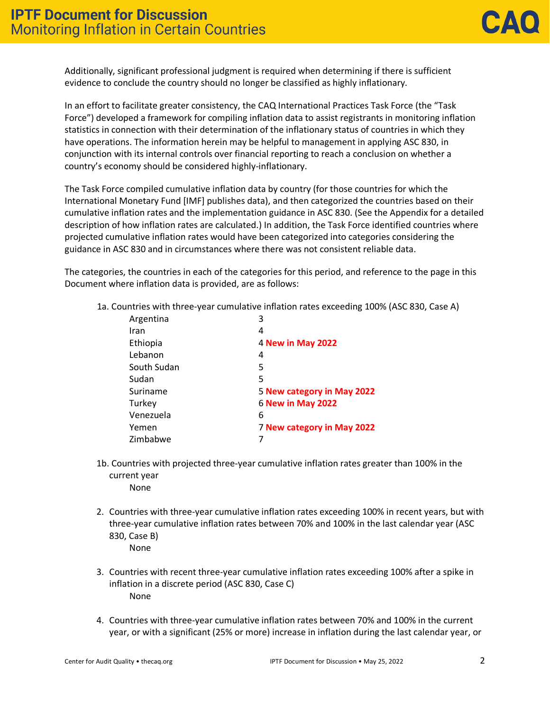Additionally, significant professional judgment is required when determining if there is sufficient evidence to conclude the country should no longer be classified as highly inflationary.

In an effort to facilitate greater consistency, the CAQ International Practices Task Force (the "Task Force") developed a framework for compiling inflation data to assist registrants in monitoring inflation statistics in connection with their determination of the inflationary status of countries in which they have operations. The information herein may be helpful to management in applying ASC 830, in conjunction with its internal controls over financial reporting to reach a conclusion on whether a country's economy should be considered highly-inflationary.

The Task Force compiled cumulative inflation data by country (for those countries for which the International Monetary Fund [IMF] publishes data), and then categorized the countries based on their cumulative inflation rates and the implementation guidance in ASC 830. (See the Appendix for a detailed description of how inflation rates are calculated.) In addition, the Task Force identified countries where projected cumulative inflation rates would have been categorized into categories considering the guidance in ASC 830 and in circumstances where there was not consistent reliable data.

The categories, the countries in each of the categories for this period, and reference to the page in this Document where inflation data is provided, are as follows:

1a. Countries with three-year cumulative inflation rates exceeding 100% (ASC 830, Case A)

| Argentina   | 3                          |
|-------------|----------------------------|
| Iran        | 4                          |
| Ethiopia    | <b>4 New in May 2022</b>   |
| Lebanon     | 4                          |
| South Sudan | 5                          |
| Sudan       | 5                          |
| Suriname    | 5 New category in May 2022 |
| Turkey      | <b>6 New in May 2022</b>   |
| Venezuela   | 6                          |
| Yemen       | 7 New category in May 2022 |
| Zimbabwe    |                            |

- 1b. Countries with projected three-year cumulative inflation rates greater than 100% in the current year
	- None
- 2. Countries with three-year cumulative inflation rates exceeding 100% in recent years, but with three-year cumulative inflation rates between 70% and 100% in the last calendar year (ASC 830, Case B)
	- None
- 3. Countries with recent three-year cumulative inflation rates exceeding 100% after a spike in inflation in a discrete period (ASC 830, Case C) None
- 4. Countries with three-year cumulative inflation rates between 70% and 100% in the current year, or with a significant (25% or more) increase in inflation during the last calendar year, or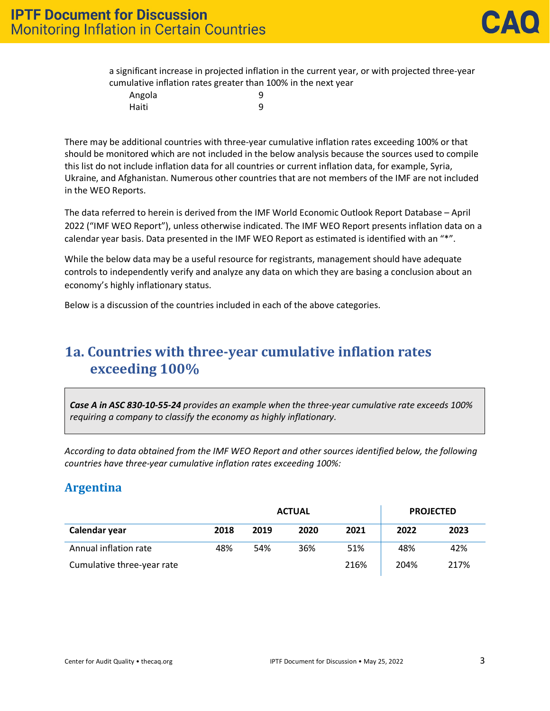|        | a significant increase in projected inflation in the current year, or with projected three-year |  |
|--------|-------------------------------------------------------------------------------------------------|--|
|        | cumulative inflation rates greater than 100% in the next year                                   |  |
| Angola |                                                                                                 |  |
| Haiti  | Q                                                                                               |  |

There may be additional countries with three-year cumulative inflation rates exceeding 100% or that should be monitored which are not included in the below analysis because the sources used to compile this list do not include inflation data for all countries or current inflation data, for example, Syria, Ukraine, and Afghanistan. Numerous other countries that are not members of the IMF are not included in the WEO Reports.

The data referred to herein is derived from the IMF World Economic Outlook Report Database – April 2022 ("IMF WEO Report"), unless otherwise indicated. The IMF WEO Report presents inflation data on a calendar year basis. Data presented in the IMF WEO Report as estimated is identified with an "\*".

While the below data may be a useful resource for registrants, management should have adequate controls to independently verify and analyze any data on which they are basing a conclusion about an economy's highly inflationary status.

Below is a discussion of the countries included in each of the above categories.

## **1a. Countries with three-year cumulative inflation rates exceeding 100%**

*Case A in ASC 830-10-55-24 provides an example when the three-year cumulative rate exceeds 100% requiring a company to classify the economy as highly inflationary.*

*According to data obtained from the IMF WEO Report and other sources identified below, the following countries have three-year cumulative inflation rates exceeding 100%:*

## **Argentina**

| <b>ACTUAL</b>              |      |      |      |      | <b>PROJECTED</b> |      |
|----------------------------|------|------|------|------|------------------|------|
| Calendar year              | 2018 | 2019 | 2020 | 2021 | 2022             | 2023 |
| Annual inflation rate      | 48%  | 54%  | 36%  | 51%  | 48%              | 42%  |
| Cumulative three-year rate |      |      |      | 216% | 204%             | 217% |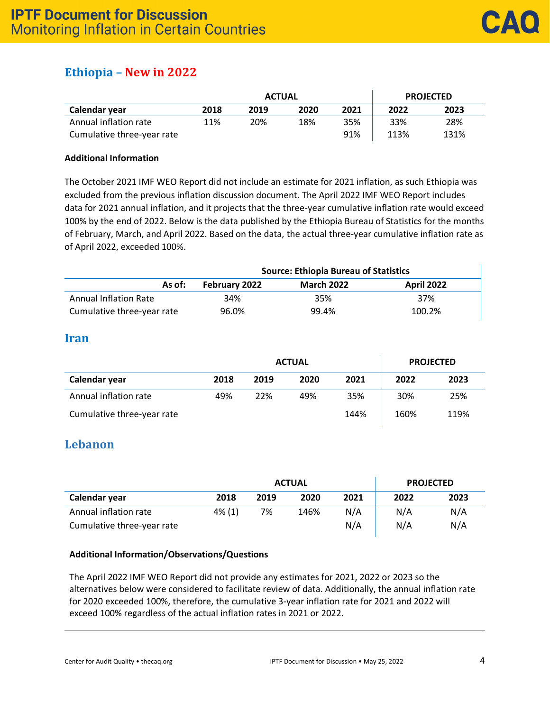## **Ethiopia – New in 2022**

|                            |      | <b>ACTUAL</b> | <b>PROJECTED</b> |      |      |      |
|----------------------------|------|---------------|------------------|------|------|------|
| Calendar year              | 2018 | 2019          | 2020             | 2021 | 2022 | 2023 |
| Annual inflation rate      | 11%  | 20%           | 18%              | 35%  | 33%  | 28%  |
| Cumulative three-year rate |      |               |                  | 91%  | 113% | 131% |

#### **Additional Information**

The October 2021 IMF WEO Report did not include an estimate for 2021 inflation, as such Ethiopia was excluded from the previous inflation discussion document. The April 2022 IMF WEO Report includes data for 2021 annual inflation, and it projects that the three-year cumulative inflation rate would exceed 100% by the end of 2022. Below is the data published by the Ethiopia Bureau of Statistics for the months of February, March, and April 2022. Based on the data, the actual three-year cumulative inflation rate as of April 2022, exceeded 100%.

|                              | <b>Source: Ethiopia Bureau of Statistics</b> |                   |                   |  |  |  |  |
|------------------------------|----------------------------------------------|-------------------|-------------------|--|--|--|--|
| As of:                       | February 2022                                | <b>March 2022</b> | <b>April 2022</b> |  |  |  |  |
| <b>Annual Inflation Rate</b> | 34%                                          | 35%               | 37%               |  |  |  |  |
| Cumulative three-year rate   | 96.0%                                        | 99.4%             | 100.2%            |  |  |  |  |

#### **Iran**

|                            |      | <b>ACTUAL</b> | <b>PROJECTED</b> |      |      |      |
|----------------------------|------|---------------|------------------|------|------|------|
| Calendar year              | 2018 | 2019          | 2020             | 2021 | 2022 | 2023 |
| Annual inflation rate      | 49%  | 22%           | 49%              | 35%  | 30%  | 25%  |
| Cumulative three-year rate |      |               |                  | 144% | 160% | 119% |

## **Lebanon**

|                            |           | <b>ACTUAL</b> |      |      |      | <b>PROJECTED</b> |  |
|----------------------------|-----------|---------------|------|------|------|------------------|--|
| Calendar year              | 2018      | 2019          | 2020 | 2021 | 2022 | 2023             |  |
| Annual inflation rate      | $4\%$ (1) | 7%            | 146% | N/A  | N/A  | N/A              |  |
| Cumulative three-year rate |           |               |      | N/A  | N/A  | N/A              |  |

#### **Additional Information/Observations/Questions**

The April 2022 IMF WEO Report did not provide any estimates for 2021, 2022 or 2023 so the alternatives below were considered to facilitate review of data. Additionally, the annual inflation rate for 2020 exceeded 100%, therefore, the cumulative 3-year inflation rate for 2021 and 2022 will exceed 100% regardless of the actual inflation rates in 2021 or 2022.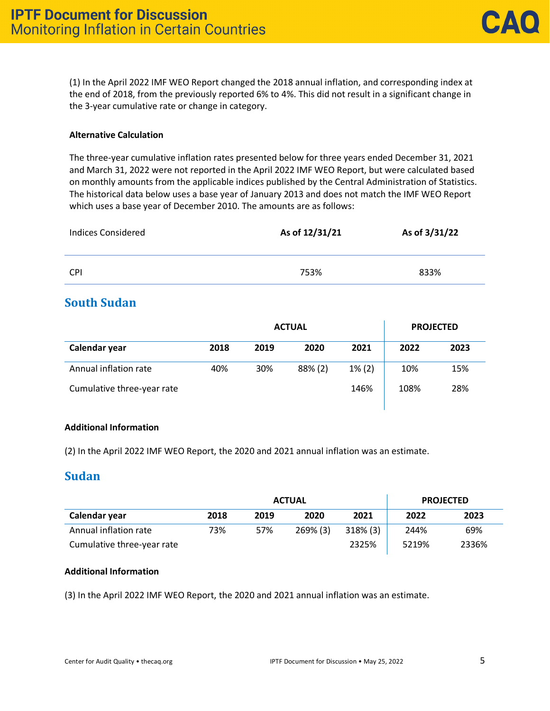(1) In the April 2022 IMF WEO Report changed the 2018 annual inflation, and corresponding index at the end of 2018, from the previously reported 6% to 4%. This did not result in a significant change in the 3-year cumulative rate or change in category.

#### **Alternative Calculation**

The three-year cumulative inflation rates presented below for three years ended December 31, 2021 and March 31, 2022 were not reported in the April 2022 IMF WEO Report, but were calculated based on monthly amounts from the applicable indices published by the Central Administration of Statistics. The historical data below uses a base year of January 2013 and does not match the IMF WEO Report which uses a base year of December 2010. The amounts are as follows:

| <b>Indices Considered</b> | As of 12/31/21 | As of 3/31/22 |
|---------------------------|----------------|---------------|
| <b>CPI</b>                | 753%           | 833%          |

### **South Sudan**

|                            |      | <b>ACTUAL</b> | <b>PROJECTED</b> |           |      |      |
|----------------------------|------|---------------|------------------|-----------|------|------|
| Calendar year              | 2018 | 2019          | 2020             | 2021      | 2022 | 2023 |
| Annual inflation rate      | 40%  | 30%           | 88% (2)          | $1\%$ (2) | 10%  | 15%  |
| Cumulative three-year rate |      |               |                  | 146%      | 108% | 28%  |

#### **Additional Information**

(2) In the April 2022 IMF WEO Report, the 2020 and 2021 annual inflation was an estimate.

#### **Sudan**

|                            |      | <b>ACTUAL</b> | <b>PROJECTED</b> |             |       |       |
|----------------------------|------|---------------|------------------|-------------|-------|-------|
| Calendar year              | 2018 | 2019          | 2020             | 2021        | 2022  | 2023  |
| Annual inflation rate      | 73%  | 57%           | 269% (3)         | $318\%$ (3) | 244%  | 69%   |
| Cumulative three-year rate |      |               |                  | 2325%       | 5219% | 2336% |

#### **Additional Information**

(3) In the April 2022 IMF WEO Report, the 2020 and 2021 annual inflation was an estimate.

 $\mathbf{I}$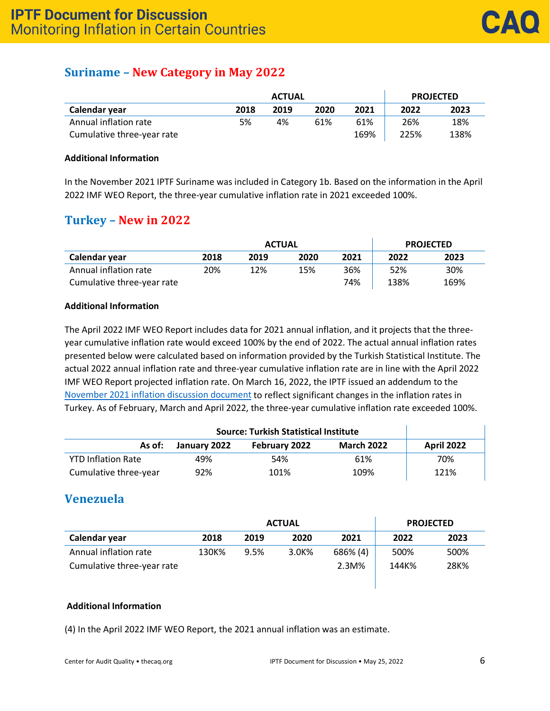## **Suriname – New Category in May 2022**

|                            |      | <b>ACTUAL</b> | <b>PROJECTED</b> |      |      |      |
|----------------------------|------|---------------|------------------|------|------|------|
| Calendar year              | 2018 | 2019          | 2020             | 2021 | 2022 | 2023 |
| Annual inflation rate      | 5%   | 4%            | 61%              | 61%  | 26%  | 18%  |
| Cumulative three-year rate |      |               |                  | 169% | 225% | 138% |

#### **Additional Information**

In the November 2021 IPTF Suriname was included in Category 1b. Based on the information in the April 2022 IMF WEO Report, the three-year cumulative inflation rate in 2021 exceeded 100%.

### **Turkey – New in 2022**

|                            |      | <b>ACTUAL</b> | <b>PROJECTED</b> |      |      |      |
|----------------------------|------|---------------|------------------|------|------|------|
| Calendar year              | 2018 | 2019          | 2020             | 2021 | 2022 | 2023 |
| Annual inflation rate      | 20%  | 12%           | 15%              | 36%  | 52%  | 30%  |
| Cumulative three-year rate |      |               |                  | 74%  | 138% | 169% |

#### **Additional Information**

The April 2022 IMF WEO Report includes data for 2021 annual inflation, and it projects that the threeyear cumulative inflation rate would exceed 100% by the end of 2022. The actual annual inflation rates presented below were calculated based on information provided by the Turkish Statistical Institute. The actual 2022 annual inflation rate and three-year cumulative inflation rate are in line with the April 2022 IMF WEO Report projected inflation rate. On March 16, 2022, the IPTF issued an addendum to the [November 2021 inflation discussion document](https://4chrg8q086f2nb81x49f276l-wpengine.netdna-ssl.com/wp-content/uploads/2022/03/caq_alert-2022-01-IPTF-addendum_2022-03.pdf) to reflect significant changes in the inflation rates in Turkey. As of February, March and April 2022, the three-year cumulative inflation rate exceeded 100%.

| As of:                    | January 2022 | <b>February 2022</b> | <b>March 2022</b> | <b>April 2022</b> |
|---------------------------|--------------|----------------------|-------------------|-------------------|
| <b>YTD Inflation Rate</b> | 49%          | 54%                  | 61%               | 70%               |
| Cumulative three-year     | 92%          | 101%                 | 109%              | 121%              |

## **Venezuela**

|                            | <b>ACTUAL</b> |      |       |          | <b>PROJECTED</b> |      |
|----------------------------|---------------|------|-------|----------|------------------|------|
| Calendar year              | 2018          | 2019 | 2020  | 2021     | 2022             | 2023 |
| Annual inflation rate      | 130K%         | 9.5% | 3.0K% | 686% (4) | 500%             | 500% |
| Cumulative three-year rate |               |      |       | 2.3M%    | 144K%            | 28K% |

#### **Additional Information**

(4) In the April 2022 IMF WEO Report, the 2021 annual inflation was an estimate.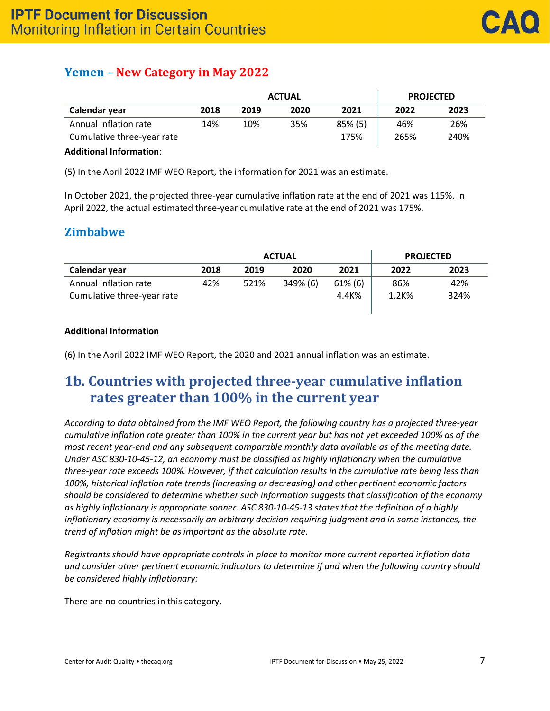## **Yemen – New Category in May 2022**

|                            | <b>ACTUAL</b> |      |      |            | <b>PROJECTED</b> |      |
|----------------------------|---------------|------|------|------------|------------------|------|
| Calendar year              | 2018          | 2019 | 2020 | 2021       | 2022             | 2023 |
| Annual inflation rate      | 14%           | 10%  | 35%  | $85\%$ (5) | 46%              | 26%  |
| Cumulative three-year rate |               |      |      | 175%       | 265%             | 240% |
| - - - - - -<br>.           |               |      |      |            |                  |      |

#### **Additional Information**:

(5) In the April 2022 IMF WEO Report, the information for 2021 was an estimate.

In October 2021, the projected three-year cumulative inflation rate at the end of 2021 was 115%. In April 2022, the actual estimated three-year cumulative rate at the end of 2021 was 175%.

### **Zimbabwe**

|                            | <b>ACTUAL</b> |      |          |            | <b>PROJECTED</b> |      |
|----------------------------|---------------|------|----------|------------|------------------|------|
| Calendar year              | 2018          | 2019 | 2020     | 2021       | 2022             | 2023 |
| Annual inflation rate      | 42%           | 521% | 349% (6) | $61\%$ (6) | 86%              | 42%  |
| Cumulative three-year rate |               |      |          | 4.4K%      | 1.2K%            | 324% |
|                            |               |      |          |            |                  |      |

#### **Additional Information**

(6) In the April 2022 IMF WEO Report, the 2020 and 2021 annual inflation was an estimate.

## **1b. Countries with projected three-year cumulative inflation rates greater than 100% in the current year**

*According to data obtained from the IMF WEO Report, the following country has a projected three-year cumulative inflation rate greater than 100% in the current year but has not yet exceeded 100% as of the most recent year-end and any subsequent comparable monthly data available as of the meeting date. Under ASC 830-10-45-12, an economy must be classified as highly inflationary when the cumulative three-year rate exceeds 100%. However, if that calculation results in the cumulative rate being less than 100%, historical inflation rate trends (increasing or decreasing) and other pertinent economic factors should be considered to determine whether such information suggests that classification of the economy as highly inflationary is appropriate sooner. ASC 830-10-45-13 states that the definition of a highly inflationary economy is necessarily an arbitrary decision requiring judgment and in some instances, the trend of inflation might be as important as the absolute rate.*

*Registrants should have appropriate controls in place to monitor more current reported inflation data and consider other pertinent economic indicators to determine if and when the following country should be considered highly inflationary:*

There are no countries in this category.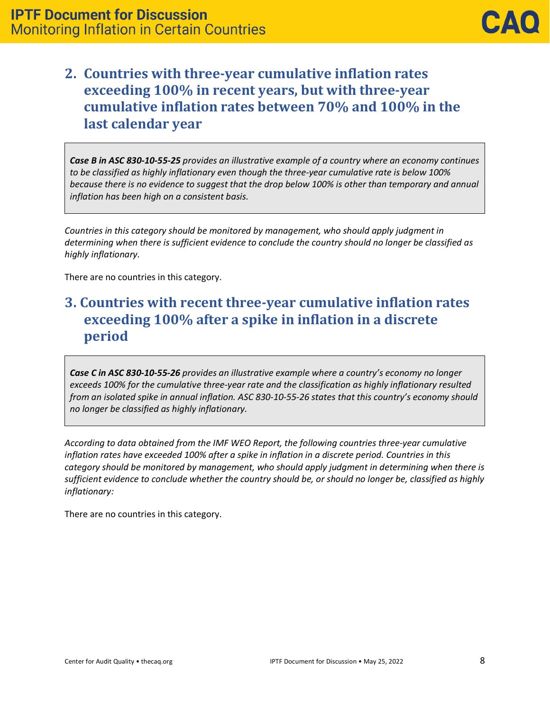## **2. Countries with three-year cumulative inflation rates exceeding 100% in recent years, but with three-year cumulative inflation rates between 70% and 100% in the last calendar year**

*Case B in ASC 830-10-55-25 provides an illustrative example of a country where an economy continues to be classified as highly inflationary even though the three-year cumulative rate is below 100% because there is no evidence to suggest that the drop below 100% is other than temporary and annual inflation has been high on a consistent basis.* 

*Countries in this category should be monitored by management, who should apply judgment in determining when there is sufficient evidence to conclude the country should no longer be classified as highly inflationary.*

There are no countries in this category.

## **3. Countries with recent three-year cumulative inflation rates exceeding 100% after a spike in inflation in a discrete period**

*Case C in ASC 830-10-55-26 provides an illustrative example where a country's economy no longer exceeds 100% for the cumulative three-year rate and the classification as highly inflationary resulted from an isolated spike in annual inflation. ASC 830-10-55-26 states that this country's economy should no longer be classified as highly inflationary.*

*According to data obtained from the IMF WEO Report, the following countries three-year cumulative inflation rates have exceeded 100% after a spike in inflation in a discrete period. Countries in this category should be monitored by management, who should apply judgment in determining when there is sufficient evidence to conclude whether the country should be, or should no longer be, classified as highly inflationary:*

There are no countries in this category.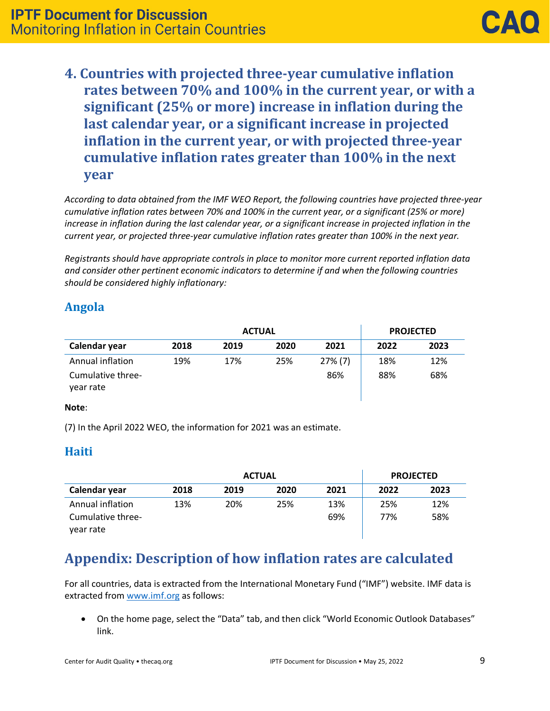**4. Countries with projected three-year cumulative inflation rates between 70% and 100% in the current year, or with a significant (25% or more) increase in inflation during the last calendar year, or a significant increase in projected inflation in the current year, or with projected three-year cumulative inflation rates greater than 100% in the next year**

*According to data obtained from the IMF WEO Report, the following countries have projected three-year cumulative inflation rates between 70% and 100% in the current year, or a significant (25% or more) increase in inflation during the last calendar year, or a significant increase in projected inflation in the current year, or projected three-year cumulative inflation rates greater than 100% in the next year.* 

*Registrants should have appropriate controls in place to monitor more current reported inflation data and consider other pertinent economic indicators to determine if and when the following countries should be considered highly inflationary:*

## **Angola**

|                                |      | <b>ACTUAL</b> | <b>PROJECTED</b> |            |      |      |
|--------------------------------|------|---------------|------------------|------------|------|------|
| Calendar year                  | 2018 | 2019          | 2020             | 2021       | 2022 | 2023 |
| Annual inflation               | 19%  | 17%           | 25%              | $27\%$ (7) | 18%  | 12%  |
| Cumulative three-<br>vear rate |      |               |                  | 86%        | 88%  | 68%  |

#### **Note**:

(7) In the April 2022 WEO, the information for 2021 was an estimate.

## **Haiti**

|                                |      | <b>ACTUAL</b> | <b>PROJECTED</b> |      |      |      |
|--------------------------------|------|---------------|------------------|------|------|------|
| Calendar year                  | 2018 | 2019          | 2020             | 2021 | 2022 | 2023 |
| Annual inflation               | 13%  | 20%           | 25%              | 13%  | 25%  | 12%  |
| Cumulative three-<br>year rate |      |               |                  | 69%  | 77%  | 58%  |

# **Appendix: Description of how inflation rates are calculated**

For all countries, data is extracted from the International Monetary Fund ("IMF") website. IMF data is extracted from [www.imf.org](http://www.imf.org/) as follows:

• On the home page, select the "Data" tab, and then click "World Economic Outlook Databases" link.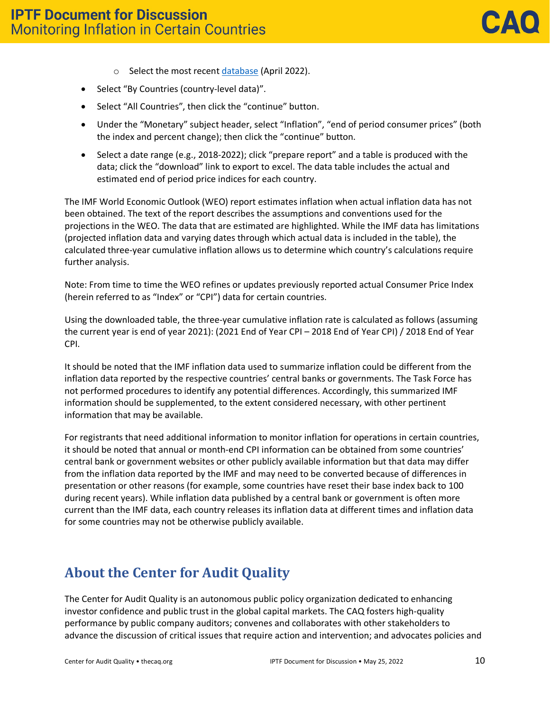- o Select the most recent [database](https://www.imf.org/en/Publications/WEO/weo-database/2022/April) (April 2022).
- Select "By Countries (country-level data)".
- Select "All Countries", then click the "continue" button.
- Under the "Monetary" subject header, select "Inflation", "end of period consumer prices" (both the index and percent change); then click the "continue" button.
- Select a date range (e.g., 2018-2022); click "prepare report" and a table is produced with the data; click the "download" link to export to excel. The data table includes the actual and estimated end of period price indices for each country.

The IMF World Economic Outlook (WEO) report estimates inflation when actual inflation data has not been obtained. The text of the report describes the assumptions and conventions used for the projections in the WEO. The data that are estimated are highlighted. While the IMF data has limitations (projected inflation data and varying dates through which actual data is included in the table), the calculated three-year cumulative inflation allows us to determine which country's calculations require further analysis.

Note: From time to time the WEO refines or updates previously reported actual Consumer Price Index (herein referred to as "Index" or "CPI") data for certain countries.

Using the downloaded table, the three-year cumulative inflation rate is calculated as follows (assuming the current year is end of year 2021): (2021 End of Year CPI – 2018 End of Year CPI) / 2018 End of Year CPI.

It should be noted that the IMF inflation data used to summarize inflation could be different from the inflation data reported by the respective countries' central banks or governments. The Task Force has not performed procedures to identify any potential differences. Accordingly, this summarized IMF information should be supplemented, to the extent considered necessary, with other pertinent information that may be available.

For registrants that need additional information to monitor inflation for operations in certain countries, it should be noted that annual or month-end CPI information can be obtained from some countries' central bank or government websites or other publicly available information but that data may differ from the inflation data reported by the IMF and may need to be converted because of differences in presentation or other reasons (for example, some countries have reset their base index back to 100 during recent years). While inflation data published by a central bank or government is often more current than the IMF data, each country releases its inflation data at different times and inflation data for some countries may not be otherwise publicly available.

## **About the Center for Audit Quality**

The Center for Audit Quality is an autonomous public policy organization dedicated to enhancing investor confidence and public trust in the global capital markets. The CAQ fosters high-quality performance by public company auditors; convenes and collaborates with other stakeholders to advance the discussion of critical issues that require action and intervention; and advocates policies and